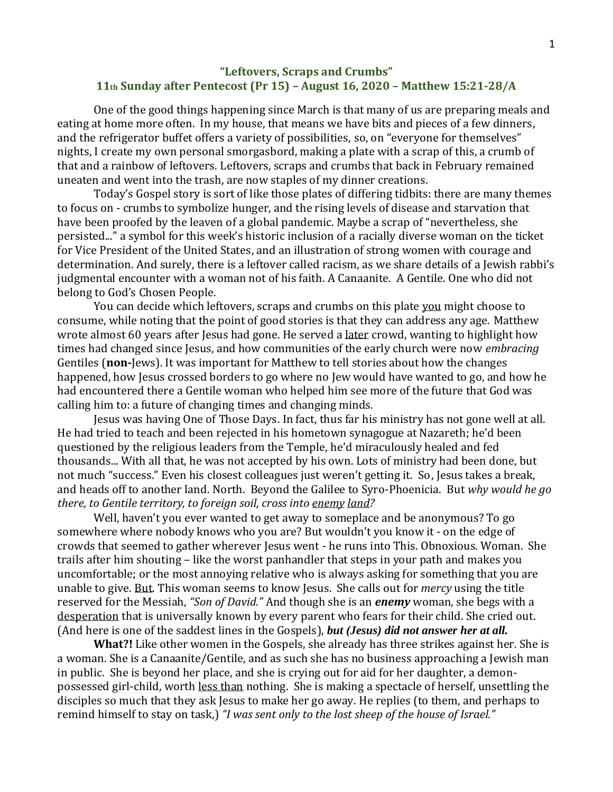## **"Leftovers, Scraps and Crumbs" 11th Sunday after Pentecost (Pr 15) – August 16, 2020 – Matthew 15:21-28/A**

One of the good things happening since March is that many of us are preparing meals and eating at home more often. In my house, that means we have bits and pieces of a few dinners, and the refrigerator buffet offers a variety of possibilities, so, on "everyone for themselves" nights, I create my own personal smorgasbord, making a plate with a scrap of this, a crumb of that and a rainbow of leftovers. Leftovers, scraps and crumbs that back in February remained uneaten and went into the trash, are now staples of my dinner creations.

Today's Gospel story is sort of like those plates of differing tidbits: there are many themes to focus on - crumbs to symbolize hunger, and the rising levels of disease and starvation that have been proofed by the leaven of a global pandemic. Maybe a scrap of "nevertheless, she persisted..." a symbol for this week's historic inclusion of a racially diverse woman on the ticket for Vice President of the United States, and an illustration of strong women with courage and determination. And surely, there is a leftover called racism, as we share details of a Jewish rabbi's judgmental encounter with a woman not of his faith. A Canaanite. A Gentile. One who did not belong to God's Chosen People.

You can decide which leftovers, scraps and crumbs on this plate you might choose to consume, while noting that the point of good stories is that they can address any age. Matthew wrote almost 60 years after Jesus had gone. He served a later crowd, wanting to highlight how times had changed since Jesus, and how communities of the early church were now *embracing* Gentiles (**non-**Jews). It was important for Matthew to tell stories about how the changes happened, how Jesus crossed borders to go where no Jew would have wanted to go, and how he had encountered there a Gentile woman who helped him see more of the future that God was calling him to: a future of changing times and changing minds.

Jesus was having One of Those Days. In fact, thus far his ministry has not gone well at all. He had tried to teach and been rejected in his hometown synagogue at Nazareth; he'd been questioned by the religious leaders from the Temple, he'd miraculously healed and fed thousands... With all that, he was not accepted by his own. Lots of ministry had been done, but not much "success." Even his closest colleagues just weren't getting it. So, Jesus takes a break, and heads off to another land. North. Beyond the Galilee to Syro-Phoenicia. But *why would he go there, to Gentile territory, to foreign soil, cross into enemy land?*

Well, haven't you ever wanted to get away to someplace and be anonymous? To go somewhere where nobody knows who you are? But wouldn't you know it - on the edge of crowds that seemed to gather wherever Jesus went - he runs into This. Obnoxious. Woman. She trails after him shouting – like the worst panhandler that steps in your path and makes you uncomfortable; or the most annoying relative who is always asking for something that you are unable to give. But. This woman seems to know Jesus. She calls out for *mercy* using the title reserved for the Messiah, *"Son of David."* And though she is an *enemy* woman, she begs with a desperation that is universally known by every parent who fears for their child. She cried out. (And here is one of the saddest lines in the Gospels), *but (Jesus) did not answer her at all.*

**What?!** Like other women in the Gospels, she already has three strikes against her. She is a woman. She is a Canaanite/Gentile, and as such she has no business approaching a Jewish man in public. She is beyond her place, and she is crying out for aid for her daughter, a demonpossessed girl-child, worth less than nothing. She is making a spectacle of herself, unsettling the disciples so much that they ask Jesus to make her go away. He replies (to them, and perhaps to remind himself to stay on task,) *"I was sent only to the lost sheep of the house of Israel."*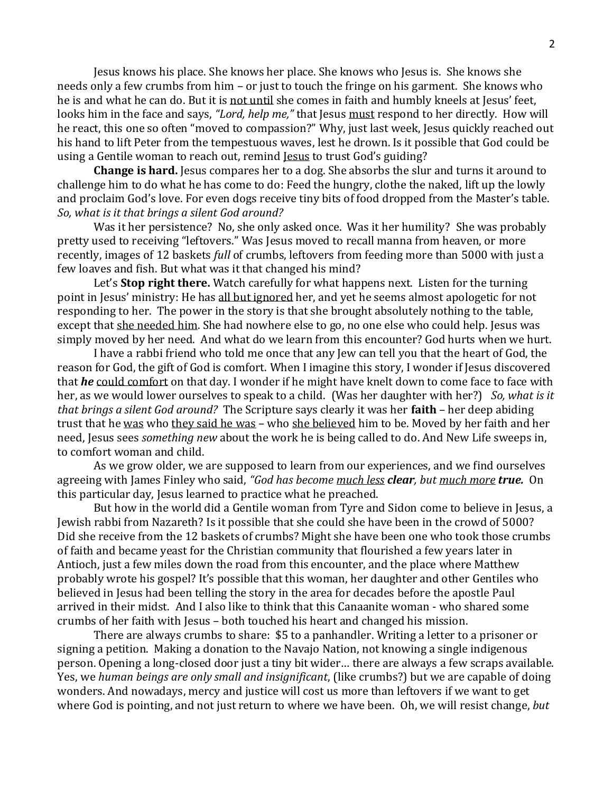Jesus knows his place. She knows her place. She knows who Jesus is. She knows she needs only a few crumbs from him – or just to touch the fringe on his garment. She knows who he is and what he can do. But it is not until she comes in faith and humbly kneels at Jesus' feet, looks him in the face and says, *"Lord, help me,"* that Jesus must respond to her directly. How will he react, this one so often "moved to compassion?" Why, just last week, Jesus quickly reached out his hand to lift Peter from the tempestuous waves, lest he drown. Is it possible that God could be using a Gentile woman to reach out, remind Jesus to trust God's guiding?

**Change is hard.** Jesus compares her to a dog. She absorbs the slur and turns it around to challenge him to do what he has come to do: Feed the hungry, clothe the naked, lift up the lowly and proclaim God's love. For even dogs receive tiny bits of food dropped from the Master's table. *So, what is it that brings a silent God around?*

Was it her persistence? No, she only asked once. Was it her humility? She was probably pretty used to receiving "leftovers." Was Jesus moved to recall manna from heaven, or more recently, images of 12 baskets *full* of crumbs, leftovers from feeding more than 5000 with just a few loaves and fish. But what was it that changed his mind?

Let's **Stop right there.** Watch carefully for what happens next. Listen for the turning point in Jesus' ministry: He has all but ignored her, and yet he seems almost apologetic for not responding to her. The power in the story is that she brought absolutely nothing to the table, except that she needed him. She had nowhere else to go, no one else who could help. Jesus was simply moved by her need. And what do we learn from this encounter? God hurts when we hurt.

I have a rabbi friend who told me once that any Jew can tell you that the heart of God, the reason for God, the gift of God is comfort. When I imagine this story, I wonder if Jesus discovered that *he* could comfort on that day. I wonder if he might have knelt down to come face to face with her, as we would lower ourselves to speak to a child. (Was her daughter with her?) *So, what is it that brings a silent God around?* The Scripture says clearly it was her **faith** – her deep abiding trust that he was who they said he was – who she believed him to be. Moved by her faith and her need, Jesus sees *something new* about the work he is being called to do. And New Life sweeps in, to comfort woman and child.

As we grow older, we are supposed to learn from our experiences, and we find ourselves agreeing with James Finley who said, *"God has become much less clear, but much more true.* On this particular day, Jesus learned to practice what he preached.

But how in the world did a Gentile woman from Tyre and Sidon come to believe in Jesus, a Jewish rabbi from Nazareth? Is it possible that she could she have been in the crowd of 5000? Did she receive from the 12 baskets of crumbs? Might she have been one who took those crumbs of faith and became yeast for the Christian community that flourished a few years later in Antioch, just a few miles down the road from this encounter, and the place where Matthew probably wrote his gospel? It's possible that this woman, her daughter and other Gentiles who believed in Jesus had been telling the story in the area for decades before the apostle Paul arrived in their midst. And I also like to think that this Canaanite woman - who shared some crumbs of her faith with Jesus – both touched his heart and changed his mission.

There are always crumbs to share: \$5 to a panhandler. Writing a letter to a prisoner or signing a petition. Making a donation to the Navajo Nation, not knowing a single indigenous person. Opening a long-closed door just a tiny bit wider… there are always a few scraps available. Yes, we *human beings are only small and insignificant*, (like crumbs?) but we are capable of doing wonders. And nowadays, mercy and justice will cost us more than leftovers if we want to get where God is pointing, and not just return to where we have been. Oh, we will resist change, *but*